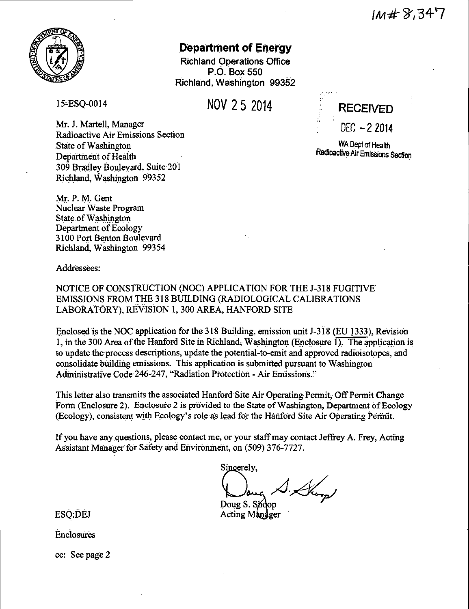

# **Department of Energy**

Richland Operations Office P.O. Box 550 Richland, Washington 99352

15°ESQ-0014

NOV 2 5 2014

Mr. J. Martell, Manager Radioactive Air Emissions Section State of Washington Department of Health 309 Bradley Boulevard, Suite 201 Richland, Washington 99352

Mr. P. M. Gent Nuclear Waste Program State of Washington Department of Ecology 3100 Port Benton Boulevard Richland, Washington 99354

Addressees:

NOTICE OF CONSTRUCTION (NOC) APPLICATION FOR THE J-318 FUGITIVE EMISSIONS FROM THE 318 BUILDING (RADIOLOGICAL CALIBRATIONS LABORATORY), REVISION 1, 300 AREA, HANFORD SITE

Enclosed is the NOC application for the 318 Building, emission unit J-318 (EU 1333), Revision 1, in the 300 Area of the Hanford Site in Richland, Washington (Enclosure 1). The application is to update the process descriptions, update the potential-to-emit and approved radioisotopes, and consolidate building emissions. This application is submitted pursuant to Washington Administrative Code 246-247, "Radiation Protection - Air Emissions."

This letter also transmits the associated Hanford· Site Air Operating Permit, Off Permit Change Form (Enclosure 2). Enclosure 2 is provided to the State of Washington, Department of Ecology (Ecology), consistent with Ecology's role:as lead for the Hanford Site Air Operating Permit.

· If you have any questions, please contact me, or your staff may contact Jeffrey A. Frey, Acting Assistant Manager for Safety and Environment, on (509) 376-7727.

the value of the start may contact Jens<br>  $\frac{\text{int, on (509) 376-7727}}{\text{Sineerely}}$  $\mathcal{A}$  . Shown

Acting Manager Doug S. Shoop

ESQ:DEJ

**Enclosures** 

cc: See page 2

**RECEIVED**   $DEC -22014$ 

WA Dept of Health Radioactive Air Emissions Section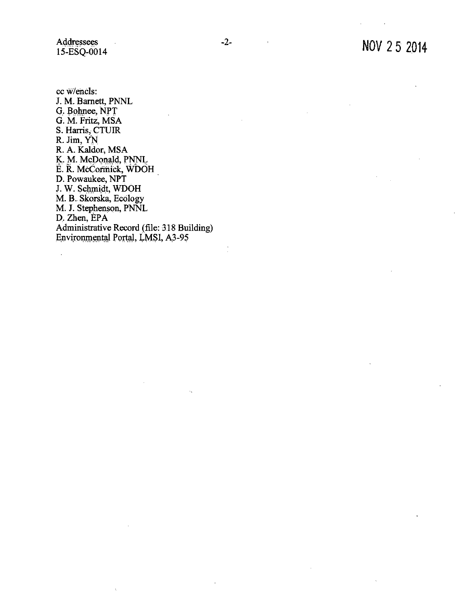Addressees l 5-ESQ-0014

 $\mathbb{Z}$ 

ccw/encls: J.M. Barnett, PNNL G. Bohnee, NPT G. M. Fritz, MSA S. Harris, CTUIR R. Jim, YN R. A. Kaldor, MSA<br>K. M. McDonald, PNNL E. R. McCormick, WDOH D. Powaukee, NPT J. W. Schmidt, WDOH M. B. Skorska, Ecology M. J. Stephenson, PNNL D. Zhen, EPA Administrative Record (file: 318 Building) Environmental Portal, LMSI, A3-95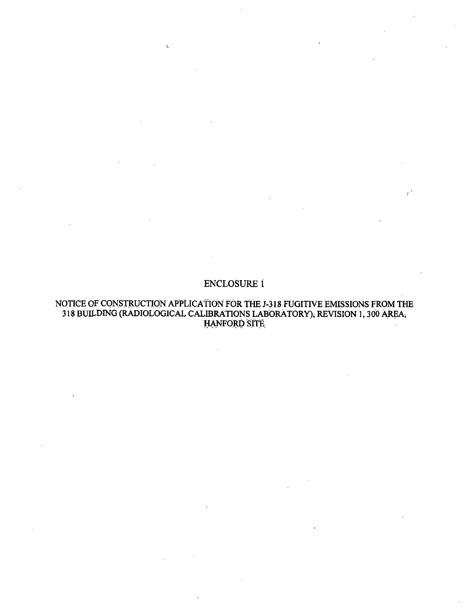# **ENCLOSURE 1**

 $\epsilon$ 

#### NOTICE OF CONSTRUCTION APPLICATION FOR THE J-318 FUGITIVE EMISSIONS FROM THE 318 BUILDING (RADIOLOGICAL CALIBRATIONS LABORATORY), REVISION 1, 300 AREA, **HANFORD SITE**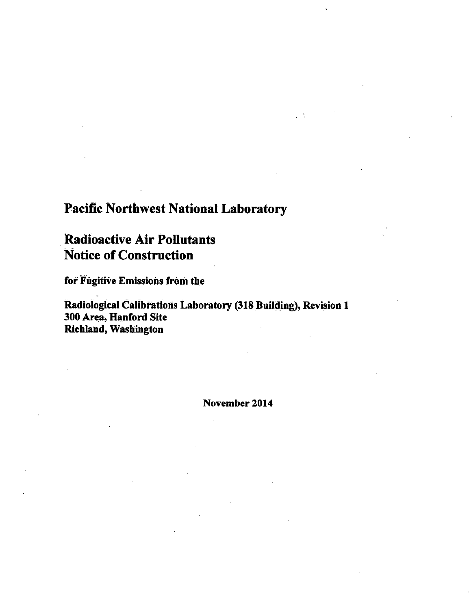# Pacific Northwest National Laboratory

# . Radioactive Air Pollutants Notice of Construction

for Fugitive Emissions from the

:Radiological Calibrations Laboratory (318 Building), Revision 1 300 Area, Hanford Site Richland, Washington

November 2014

 $\frac{1}{2}$  ,  $\frac{1}{2}$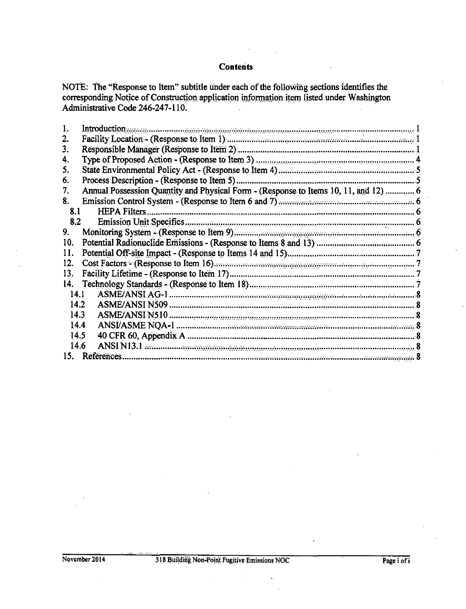#### **Contents**

NOTE: The "Response to Item" subtitle under each of the following sections identifies the corresponding Notice of Construction application information item listed under Washington Administrative Code 246-247-110.

| Introduction www.communication or construction of the construction of the construction of the construction of the construction of the construction of the construction of the construction of the construction of the construc |  |
|--------------------------------------------------------------------------------------------------------------------------------------------------------------------------------------------------------------------------------|--|
| 2.                                                                                                                                                                                                                             |  |
| 3.                                                                                                                                                                                                                             |  |
| 4.                                                                                                                                                                                                                             |  |
| 5.                                                                                                                                                                                                                             |  |
| 6.                                                                                                                                                                                                                             |  |
| Annual Possession Quantity and Physical Form - (Response to Items 10, 11, and 12)  6<br>7.                                                                                                                                     |  |
| 8.                                                                                                                                                                                                                             |  |
| <b>HEPA</b> Filters.<br>8.1                                                                                                                                                                                                    |  |
| 8.2                                                                                                                                                                                                                            |  |
| 9.                                                                                                                                                                                                                             |  |
| 10.                                                                                                                                                                                                                            |  |
| 11.                                                                                                                                                                                                                            |  |
| Cost Factors - (Response to Item 16) <b>manufacture in the contract of the Cost Factors</b> - (Response to Item 16)<br>12.                                                                                                     |  |
| 13.                                                                                                                                                                                                                            |  |
| 14.                                                                                                                                                                                                                            |  |
| 14.1                                                                                                                                                                                                                           |  |
| 14.2                                                                                                                                                                                                                           |  |
| 14.3                                                                                                                                                                                                                           |  |
| 14.4                                                                                                                                                                                                                           |  |
| 14.5                                                                                                                                                                                                                           |  |
| 14.6                                                                                                                                                                                                                           |  |
| 15.<br>References.                                                                                                                                                                                                             |  |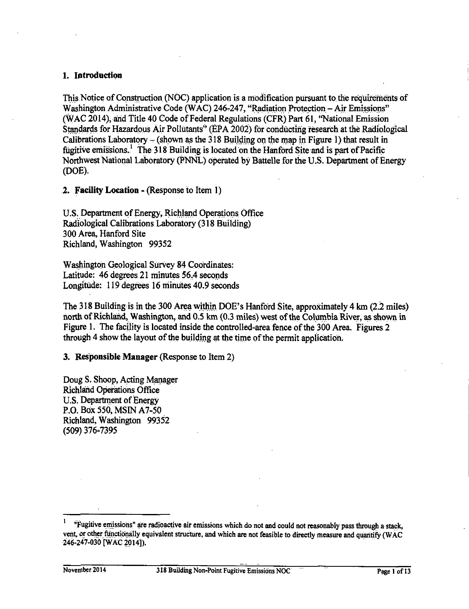#### 1. Introduction

This Notice of Construction (NOC) application is a modification pursuant to the requirements of Washington Administrative Code (WAC) 246-247, "Radiation Protection – Air Emissions" (WAC 2014), and Title 40 Code of Federal Regulations (CFR) Part 61, "National Emission Standards for Hazardous Air Pollutants" (EPA 2002) for conducting research at the Radiological Calibrations Laboratory – (shown as the 318 Building on the map in Figure 1) that result in fugitive emissions.<sup>1</sup> The 318 Building is located on the Hanford Site and is part of Pacific Northwest National Laboratory (PNNL) operated by Battelle for the U.S. Department of Energy (DOE).

2. Facility Location - (Response to Item 1)

U.S. Department of Energy, Richland Operations Office Radiological Calibrations Laboratory (318 Building) 300 Area, Hanford Site Richland, Washington 99352

Washington Geological Survey 84 Coordinates: Latitude: 46 degrees 21 minutes 56.4 seconds Longitude: 119 degrees 16 minutes 40.9 seconds

The 318 Building is in the 300 Area within DOE's Hanford Site, approximately 4 km (2.2 miles) north of Richland, Washington, and 0.5 km (0.3 miles) west of the Columbia River, as shown in Figure 1. The facility is located inside the controlled-area fence of the 300 Area. Figures 2 through 4 show the layout of the building at the time of the permit application.

3. Responsible Manager (Response to Item 2)

Doug S. Shoop, Acting Manager **Richland Operations Office** U.S. Department of Energy P.O. Box 550, MSIN A7-50 Richland, Washington 99352 (509) 376-7395

 $\mathbf{1}$ "Fugitive emissions" are radioactive air emissions which do not and could not reasonably pass through a stack, vent, or other functionally equivalent structure, and which are not feasible to directly measure and quantify (WAC 246-247-030 [WAC 2014]).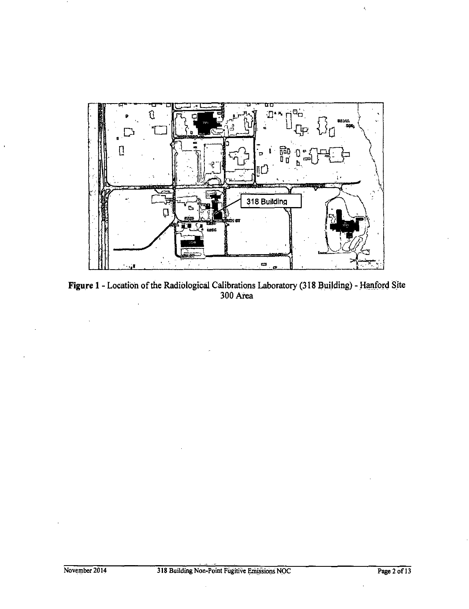

Figure 1 - Location of the Radiological Calibrations Laboratory (318 Building) - Hanford Site<br>300 Area

 $\ddot{\phantom{a}}$ 

 $\bar{\zeta}$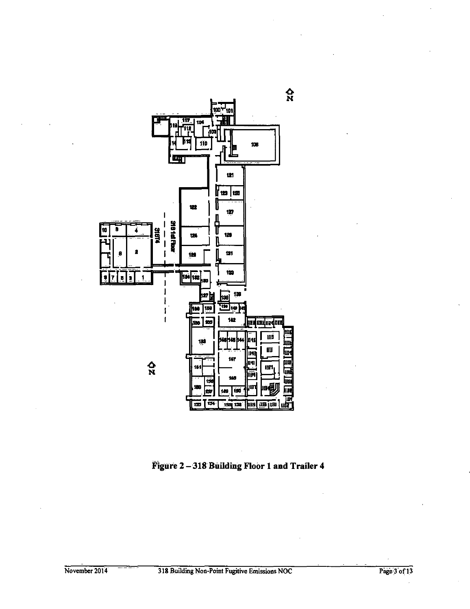

**Figure 2 -318 Building Floor 1 and Trailer 4**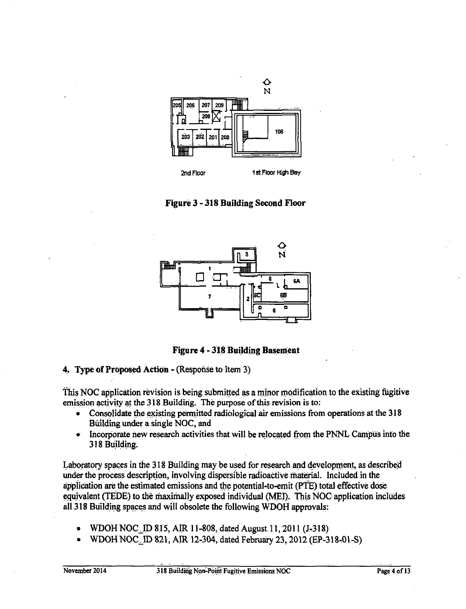

**Figure 3 - 318 Building Second Floor** 



**Figure 4 - 318 Building Basement** 

#### **4. Type of Proposed Action** -(Response to Item 3)

This NOC application revision is being submitted as a minor modification to the existing fugitive emission activity at the 318 Building. The purpose of this revision is to:

- Consolidate the existing permitted radiological air emissions from operations at the 318 Building under a single NOC, and
- Incorporate new research activities that will be relocated from the PNNL Campus into the 318 Building.

Laboratory spaces in the 318 Building may be used for research and development, as described under the process description, involving dispersible radioactive material. Included in the application are the estimated emissions and the potential-to-emit (PTE) total effective dose equivalent (TEDE) to the maximally exposed individual (MEI). This NOC application includes all 318 Building spaces and will obsolete the following WDOH approvals:

- WDOH NOC~ID 815, AIR 11-808, dated August 11,2011 (J-318)
- WDOH NOC~ID 821, AIR 12-304, dateci February 23, 2012(EP-318.0l-S)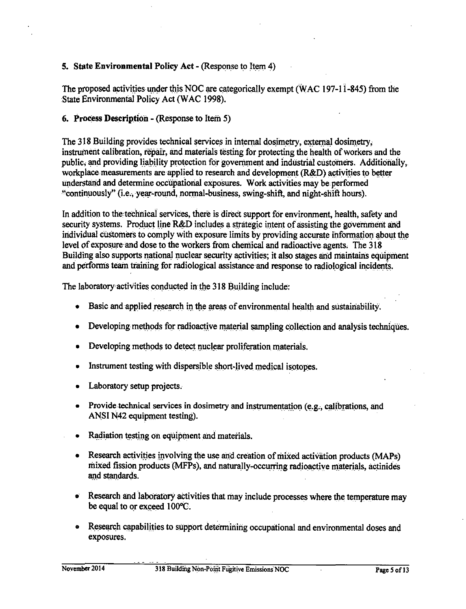# 5. State Environmental Policy Act - (Response to Item 4)

The proposed activities under this NOC are categorically exempt (WAC 197-11-845) from the State Environmental Policy Act (WAC 1998).

## 6. Process Description - (Response to Item 5)

The 318 Building provides technical services in internal dosimetry, external dosimetry, instrument calibration, repair, and materials testing for protecting the health of workers and the public, and providing liability protection for government and industrial customers. Additionally, workplace measurements are applied to research and development (R&D) activities to better understand and determine occupational exposures. Work activities may be performed "continuously" (i.e., year-round, normal-business, swing-shift, and night-shift hours).

In addition to the technical services, there is direct support for environment, health, safety and security systems. Product line R&D includes a strategic intent of assisting the government and individual customers to comply with exposure limits by providing accurate information about the level of exposure and dose to the workers from chemical and radioactive agents. The 318 Building also supports national nuclear security activities; it also stages and maintains equipment and performs team training for radiological assistance and response to radiological incidents.

The laboratory activities conducted in the 318 Building include:

- Basic and applied research in the areas of environmental health and sustainability.
- Developing methods for radioactive material sampling collection and analysis techniques.
- Developing methods to detect nuclear proliferation materials.
- Instrument testing with dispersible short-lived medical isotopes.
- Laboratory setup projects.
- Provide technical services in dosimetry and instrumentation (e.g., calibrations, and ANSI N42 equipment testing).
- Radiation testing on equipment and materials.
- Research activities involving the use and creation of mixed activation products (MAPs) mixed fission products (MFPs), and naturally-occurring radioactive materials, actinides and standards.
- Research and laboratory activities that may include processes where the temperature may be equal to or exceed 100°C.
- Research capabilities to support determining occupational and environmental doses and exposures.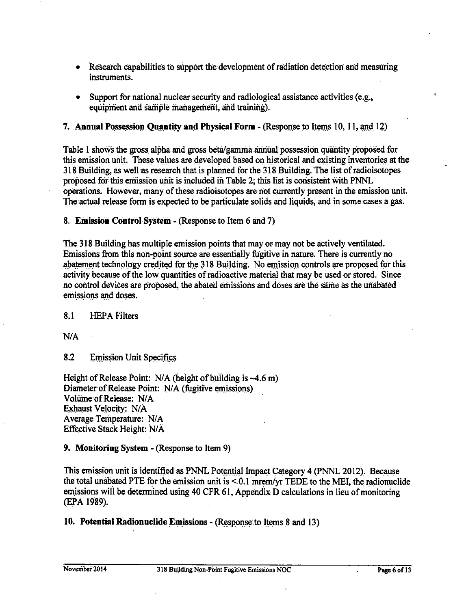- Research capabilities to support the development of radiation detection and measuring instruments.
- Support for national nuclear security and radiological assistance activities (e.g.,  $\bullet$ equipment and sample management, and training).

## 7. Annual Possession Ouantity and Physical Form - (Response to Items 10, 11, and 12)

Table 1 shows the gross alpha and gross beta/gamma annual possession quantity proposed for this emission unit. These values are developed based on historical and existing inventories at the 318 Building, as well as research that is planned for the 318 Building. The list of radioisotopes proposed for this emission unit is included in Table 2; this list is consistent with PNNL operations. However, many of these radioisotopes are not currently present in the emission unit. The actual release form is expected to be particulate solids and liquids, and in some cases a gas.

8. Emission Control System - (Response to Item 6 and 7)

The 318 Building has multiple emission points that may or may not be actively ventilated. Emissions from this non-point source are essentially fugitive in nature. There is currently no abatement technology credited for the 318 Building. No emission controls are proposed for this activity because of the low quantities of radioactive material that may be used or stored. Since no control devices are proposed, the abated emissions and doses are the same as the unabated emissions and doses.

 $8.1$ **HEPA** Filters

 $N/A$ 

 $8.2$ **Emission Unit Specifics** 

Height of Release Point:  $N/A$  (height of building is  $-4.6$  m) Diameter of Release Point: N/A (fugitive emissions) Volume of Release: N/A Exhaust Velocity: N/A Average Temperature: N/A Effective Stack Height: N/A

#### 9. Monitoring System - (Response to Item 9)

This emission unit is identified as PNNL Potential Impact Category 4 (PNNL 2012). Because the total unabated PTE for the emission unit is  $\leq 0.1$  mrem/vr TEDE to the MEI, the radionuclide emissions will be determined using 40 CFR 61, Appendix D calculations in lieu of monitoring (EPA 1989).

10. Potential Radionuclide Emissions - (Response to Items 8 and 13)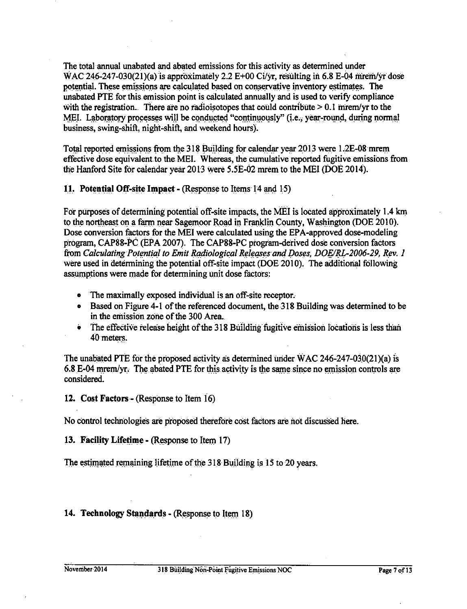The total annual unabated and abated emissions for this activity as determined under WAC 246-247-030(21)(a) is approximately 2.2 E+00 Ci/yr, resulting in 6.8 E-04 mrem/yr dose potential. These emissions are calculated based on conservative inventory estimates. The unabated PTE for this emission point is calculated annually and is used to verify compliance with the registration. There are no radioisotopes that could contribute  $> 0.1$  mrem/yr to the MEI. Laboratory processes will be conducted "continuously" (i.e., year-round, during normal business, swing-shift, night-shift, and weekend hours).

Total reported emissions from the 318 Building for calendar year 2013 were 1.2E-08 mrem effective dose equivalent.to the MEL Whereas, the cumulative reported fugitive emissions from the Hanford Site for calendar year 2013 were 5.5E-02 mrem to the MEI (DOE 2014).

**11. Potential Off-site Impact - (Response to Items 14 and 15)** 

For purposes of determining potential off-site impacts, the MEI is located approximately 1.4 km to the northeast on a farm near Sagemoor Road in Franklin County, Washington (DOE 2010). Dose conversion factors for the MEI were calculated using the EPA-approved dose-modeling program, CAP88-PC (EPA 2007). The CAP88-PC program-derived dose conversion factors from *Calculating Potential to Emit Radiological Releases and Doses, DOE/RL-2006-29, Rev. 1* were used in determining the potential off-site impact (DOE 2010). The additional following assumptions were made for determining unit dose factors:

- The maximally exposed individual is an off-site receptor.
- Based on Figure 4-1 of the referenced document, the 318 Building was determined to be in the emission zone of the 300 Area...
- The effective release height of the 318 Building fugitive emission locations is less than 40 meters.

The unabated PTE for the propased activity as determined under WAC 246-247-030(2l)(a) is 6.8 E-04 mrem/yr. The abated PTE for this activity is the same since no emission controls are considered.

**12. Cost Factors-** (Response to Item 16)

No control technologies are proposed therefore cost factors are not discussed here.

**13. Facility Lifetime - (Response to Item 17)** 

The estimated remaining lifetime of the 318 Building is 15 to 20 years.

# **14. Technology Standards - (Response to Item 18)**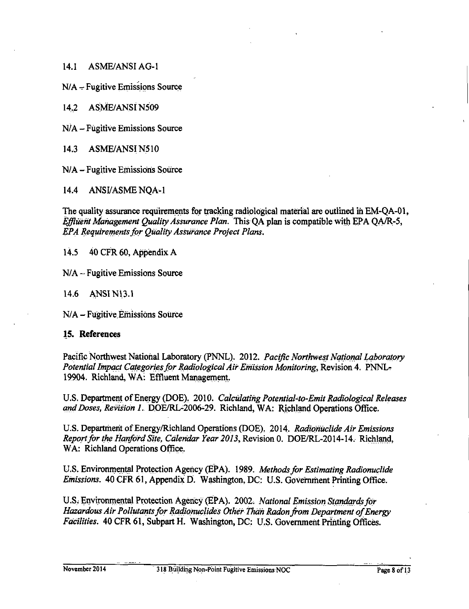$14.1$ **ASME/ANSI AG-1** 

 $N/A$  – Fugitive Emissions Source

**ASME/ANSI N509**  $14.2$ 

N/A - Fugitive Emissions Source

 $14.3$ **ASME/ANSI N510** 

N/A - Fugitive Emissions Source

 $14.4$ **ANSI/ASME NOA-1** 

The quality assurance requirements for tracking radiological material are outlined in EM-OA-01, Effluent Management Ouality Assurance Plan. This OA plan is compatible with EPA OA/R-5, EPA Requirements for Ouality Assurance Project Plans.

 $14.5$ 40 CFR 60, Appendix A

 $N/A$  – Fugitive Emissions Source

 $14.6$ ANSI N13.1

N/A – Fugitive Emissions Source

#### 15. References

Pacific Northwest National Laboratory (PNNL). 2012. Pacific Northwest National Laboratory Potential Impact Categories for Radiological Air Emission Monitoring, Revision 4. PNNL-19904. Richland, WA: Effluent Management.

U.S. Department of Energy (DOE). 2010. Calculating Potential-to-Emit Radiological Releases and Doses, Revision 1. DOE/RL-2006-29. Richland, WA: Richland Operations Office.

U.S. Department of Energy/Richland Operations (DOE). 2014. Radionuclide Air Emissions Report for the Hanford Site, Calendar Year 2013, Revision 0. DOE/RL-2014-14. Richland, WA: Richland Operations Office.

U.S. Environmental Protection Agency (EPA). 1989. Methods for Estimating Radionuclide *Emissions.* 40 CFR 61, Appendix D. Washington, DC: U.S. Government Printing Office.

U.S. Environmental Protection Agency (EPA). 2002. National Emission Standards for Hazardous Air Pollutants for Radionuclides Other Than Radon from Department of Energy Facilities. 40 CFR 61, Subpart H. Washington, DC: U.S. Government Printing Offices.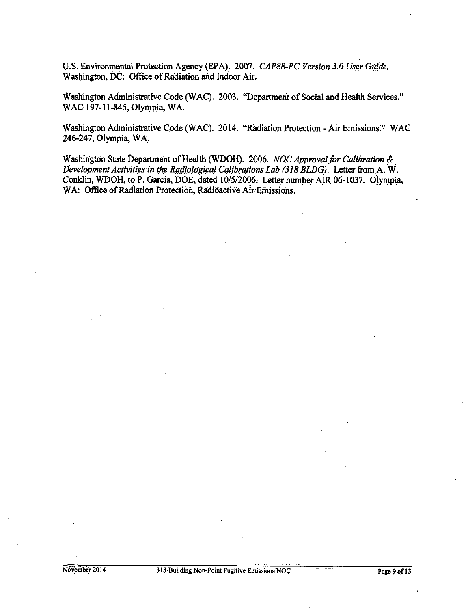U.S. Environmental Protection Agency (EPA). 2007. *CAP88-PC Version 3.0 User Guide.* Washington, DC: Office of Radiation and Indoor Air.

Washington Administrative Code (WAC). 2003. "Department of Social and Health Services." WAC 197-11-845, Olympia, WA.

Washington Administrative Code (WAC). 2014. "Radiation Protection - Air Emissions." WAC 246-247, Olympia, WA.

Washington State Department of Health (WDOH). 2006. *NOC Approval for Calibration &* Development Activities in the Radiological Calibrations Lab (318 BLDG). Letter from A. W. Conklin, WDOH, to P. Garcia, DOE, dated 10/5/2006. Letter number AIR 06-1037. Olympia, WA: Office of Radiation Protection, Radioactive Air Emissions.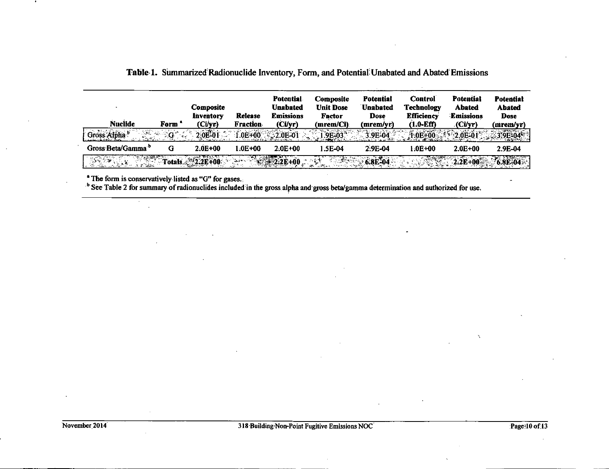| <b>Nuclide</b>                | Form' | <b>Composite</b><br><b>Inventory</b><br>(Ci/yr) | Refease<br><b>Fraction</b>                                                                                                                                           | <b>Potential</b><br><b>Unabated</b><br><b>Emissions</b><br>(Ci/vr) | <b>Composite</b><br><b>Unit Dose</b><br>Factor<br>(mrem/Ci): | Potential<br><b>Unabated</b><br>Dose<br>(mrem/vr) | <b>Control</b><br><b>Technology</b><br><b>Efficiency</b><br>$(1.0-Eff)$ | <b>Potential</b><br><b>Abated</b><br>Emissions<br>(Ci/yr) | <b>Potential</b><br><b>Abated</b><br><b>Dose</b><br>(mrem/yr) |
|-------------------------------|-------|-------------------------------------------------|----------------------------------------------------------------------------------------------------------------------------------------------------------------------|--------------------------------------------------------------------|--------------------------------------------------------------|---------------------------------------------------|-------------------------------------------------------------------------|-----------------------------------------------------------|---------------------------------------------------------------|
| Gross Alpha b<br>38           | ਂ ਤੌਰ | $2.0E^{2}01$                                    |                                                                                                                                                                      | $.0E+00$ 2.0E 01                                                   | <b>9E-03</b>                                                 | 3.9E-04                                           | $1.0E + 00$                                                             | $2.0E-01$                                                 | $-395-04$                                                     |
| Gross Beta/Gamma <sup>®</sup> | G     | $2.0E + 00$                                     | $1.0E + 00$                                                                                                                                                          | $2.0E + 00$                                                        | 1.5E-04                                                      | 2.9E-04                                           | 1:0E+00                                                                 | $2.0E + 00$                                               | 2.9E-04                                                       |
|                               |       | $Totals \approx 2.2E+00$                        | $\label{eq:4} \frac{1}{2} \sum_{i=1}^n \sum_{j=1}^n \mathbf{A}_{ij} \mathbf{e}_{ij} \mathbf{e}_{ij} \mathbf{e}_{ij} \mathbf{e}_{ij} \mathbf{e}_{ij} \mathbf{e}_{ij}$ | $-22E+00$                                                          | 医子宫神经                                                        | 6.8E <sup>2</sup> 04                              |                                                                         | $2.2E + 00$                                               | $76.8E-04$                                                    |

<sup>•</sup> The form is conservatively listed as "G" for gases.

 $\epsilon$  $\mathbf{r}$ 

<sup>6</sup> See Table 2 for summary of radionuclides included in the gross alpha and gross beta/gamma determination and authorized for use.

 $\mathbf{v}_i$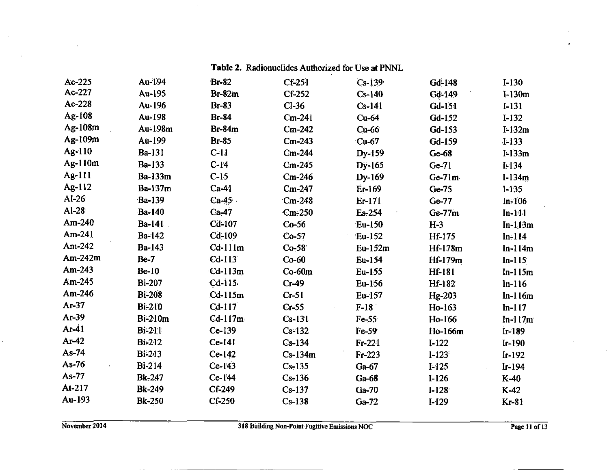| Ac-225    | Au-194         | <b>Br-82</b>  | $Cf-251$  | $Cs-139$ | Gd-148    | $I-130$    |
|-----------|----------------|---------------|-----------|----------|-----------|------------|
| Ac-227    | Au-195         | $Br-82m$      | $Cf-252$  | $Cs-140$ | Gd-149    | $I-130m$   |
| Ac-228    | Au-196         | $Br-83$       | $Cl-36$   | $Cs-141$ | $Gd-151$  | $I-131$    |
| Ag-108    | Au-198         | <b>Br-84</b>  | $Cm-241$  | $Cu-64$  | Gd-152    | $I-I32$    |
| $Ag-108m$ | Au-198m        | <b>Br-84m</b> | $Cm-242$  | $Cu-66$  | Gd-153    | $I-132m$   |
| Ag-109m   | Au-199         | <b>Br-85</b>  | $Cm-243$  | $Cu-67$  | Gd-159    | $I-133$    |
| Ag-110    | Ba-131         | $C-11$        | $Cm-244$  | Dy-159   | $Ge-68$   | $I - 133m$ |
| Ag-110m   | Ba-133         | $C-14$        | $Cm-245$  | $Dy-165$ | $Ge-71$   | $I-134$    |
| Ag-111    | Ba-133m        | $C-15$        | $Cm-246$  | Dy-169   | $Ge-71m$  | $I-134m$   |
| Ag-112    | Ba-137m        | $Ca-41$       | $Cm-247$  | Er-169   | $Ge-75$   | $1-135$    |
| $AI-26$   | <b>Ba-139</b>  | $Ca-45$       | $Cm-248$  | Er-171   | Ge-77     | $In-106$   |
| $AI-28$   | <b>Ba-140</b>  | $Ca-47$       | $Cm-250$  | Es-254   | $Ge-77m$  | $In-111$   |
| Am- $240$ | Ba-141         | Cd-107        | $Co-56$   | $Eu-150$ | $H-3$     | $In-1.13m$ |
| Am-24 $1$ | <b>Ba-142</b>  | $Cd-109$      | $Co-57$   | Eu-152   | Hf-175    | $In-114$   |
| Am-242    | <b>Ba-143</b>  | $Cd-111m$     | $Co-58$   | Eu-152m  | Hf-178m   | $In-114m$  |
| $Am-242m$ | <b>Be-7</b>    | $Cd-113$      | $Co-60$   | Eu-154   | Hf-179m   | $In-115$   |
| Am-243    | $Be-10$        | $Cd-113m$     | $Co-60m$  | Eu-155   | Hf-181    | $In-115m$  |
| Am-245    | <b>Bi-207</b>  | $Cd-115$      | $Cr-49$   | Eu-156   | Hf-182    | $In-116$   |
| Am-246    | <b>Bi-208</b>  | $Cd-115m$     | $Cr-51$   | Eu-157   | Hg-203    | $In-116m$  |
| Ar-37     | <b>Bi-210</b>  | $Cd-117$      | $Cr-55$   | $F-18$   | Ho-163    | $In-117$   |
| Ar-39     | <b>Bi-210m</b> | $Cd-117m$     | $Cs-131$  | $Fe-55$  | Ho-166    | $ln-117m$  |
| $Ar-41$   | <b>Bi-211</b>  | $Ce-139$      | $Cs-132$  | $Fe-59$  | Ho-166m   | Ir-189     |
| $Ar-42$   | <b>Bi-212</b>  | $Ce-141$      | $Cs-134$  | $Fr-221$ | $I-122$   | $Ir-190$   |
| $As-74$   | <b>Bi-213</b>  | $Ce-142$      | $Cs-134m$ | $Fr-223$ | $1 - 123$ | $Ir-192$   |
| As-76     | <b>Bi-214</b>  | $Ce-143$      | $Cs-135$  | $Ga-67$  | $1-125$   | $Ir-194$   |
| As-77     | Bk-247         | $Ce-I'44$     | $Cs-136$  | $Ga-68$  | $1-126$   | $K-40$     |
| At-217    | <b>Bk-249</b>  | Cf-249        | $Cs-137$  | $Ga-70$  | $I-128$   | $K-42$     |
| Au-193    | <b>Bk-250</b>  | Cf-250        | $Cs-138$  | $Ga-72$  | $I-129$   | $Kr-81$    |

Table 2. Radionuclides Authorized for Use at PNNL

 $\sim$ 

 $\sim 10^7$ 

 $\mathcal{L}^{\pm}$ 

 $\sim 100$ 

 $\sim$ 

 $\mathbf{r}$ 

 $\mathcal{L}^{\mathcal{L}}$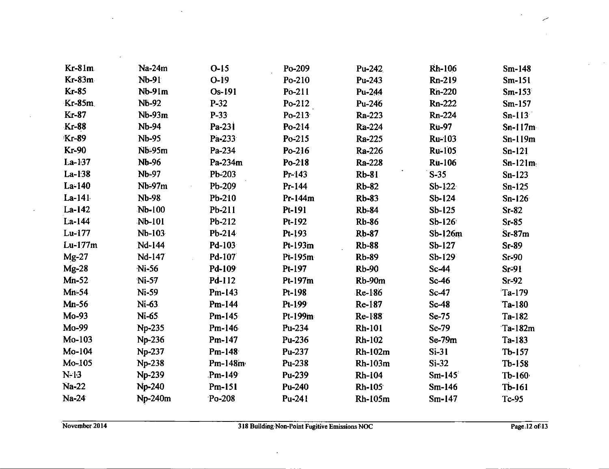| $Kr-81m$     | Na-24m        | $O-I5$    | Po-209    | Pu-242         | <b>Rh-106</b>    | $Sm-148$          |
|--------------|---------------|-----------|-----------|----------------|------------------|-------------------|
| Kr-83m       | Nb-91         | $O-I9$    | Po-210    | Pu-243         | Rn-219           | $Sm-151$          |
| Kr-85        | $Nb-91m$      | Os-191    | Po-211    | Pu-244         | <b>Rn-220</b>    | $Sm-153$          |
| $Kr-85m$     | Nb-92         | $P-32$    | Po-212    | Pu-246         | Rn-222           | $Sm-157$          |
| Kr-87        | $Nb-93m$      | $P-33$    | Po-213    | Ra-223         | Rn-224           | $Sn-113$          |
| <b>Kr-88</b> | <b>Nb-94</b>  | Pa-231    | Po-214    | Ra-224         | <b>Ru-97</b>     | $Sn-117m$         |
| <b>Kr-89</b> | <b>Nb-95</b>  | Pa-233    | Po-215    | Ra-225         | Ru-103           | $Sn-119m$         |
| <b>Kr-90</b> | Nb-95m        | Pa-234    | Po-216    | Ra-226         | <b>Ru-105</b>    | $Sn-121$          |
| $La-l37$     | <b>Nb-96</b>  | Pa-234m   | Po-218    | Ra-228         | <b>Ru-106</b>    | $Sn-121m$         |
| La-138       | Nb-97         | Pb-203    | Pr-143    | <b>Rb-81</b>   | $S-35$           | $Sn-123$          |
| La-140       | $Nb-97m$      | Pb-209    | $Pr-144$  | <b>Rb-82</b>   | $Sb-122$         | $Sn-125$          |
| $La-141$     | <b>Nb-98</b>  | Pb-210    | $Pr-144m$ | <b>Rb-83</b>   | $Sb-124$         | $Sn-126$          |
| $La-142$     | Nb-100        | Pb-211    | Pt-191    | <b>Rb-84</b>   | $Sb-125$         | $Sr-82$           |
| La-144       | Nb-101        | Pb-212    | Pt-192    | <b>Rb-86</b>   | $Sb-126$         | $Sr-85$           |
| Lu-177       | Nb-103        | $Pb-214$  | Pt-193    | <b>Rb-87</b>   | Sb-126m          | $Sr-87m$          |
| Lu-177m      | Nd-144        | Pd-103    | Pt-193m   | <b>Rb-88</b>   | $Sb-127$         | $Sr-89$           |
| $Mg-27$      | Nd-147        | Pd-107    | Pt-195m   | <b>Rb-89</b>   | $Sb-129$         | $Sr-90$           |
| $Mg-28$      | Ni-56         | Pd-109    | Pt-197    | <b>Rb-90</b>   | Sc-44            | Sr <sup>2</sup> 1 |
| $Mn-52$      | Ni-57         | Pd-112    | Pt-197m   | $Rb-90m$       | $Sc-46$          | $Sr-92$           |
| $Mn-54$      | Ni-59         | $Pm-143$  | Pt-198    | Re-186         | Sc <sub>47</sub> | $Ta-179$          |
| $Mn-56$      | Ni-63.        | Pm-144    | Pt-199    | Re-187         | Sc <sub>48</sub> | Ta-180            |
| Mo-93        | Ni-65         | Pm-145    | Pt-199m   | Re-188         | $Se-75$          | Ta-182            |
| Mo-99        | Np-235        | Pm-146    | Pu-234    | <b>Rh-101</b>  | $Se-79$          | Ta-182m           |
| Mo-103       | Np-236        | Pm-147    | Pu-236    | <b>Rh-102</b>  | $Se-79m$         | $Ta-183$          |
| Mo-104       | Np-237        | Pm-148    | Pu-237    | <b>Rh-102m</b> | $Si-31$          | $Tb-157$          |
| Mo-105       | <b>Np-238</b> | $Pm-148m$ | Pu-238    | Rh-103m        | $Si-32$          | $Tb-158$          |
| $N-13$       | Np-239        | $Pm-149$  | Pu-239    | <b>Rh-104</b>  | $Sm-145$         | $Tb-160$          |
| <b>Na-22</b> | <b>Np-240</b> | Pm-151    | Pu-240    | Rh-105         | $Sm-146$         | $Tb-161$          |
| $Na-24$      | Np-240m       | Po-208    | Pu-241    | Rh-105m        | $Sm-147$         | Tc-95             |

 $\sim 10$ 

 $\lambda$ 

 $\sim$ 

 $\sim$ 

 $\mathcal{A}$ 

 $\ddot{\phantom{a}}$ 

 $\mathcal{A}$ 

سر  $\mathcal{L}_{\mathcal{A}}$ 

 $\sim 10$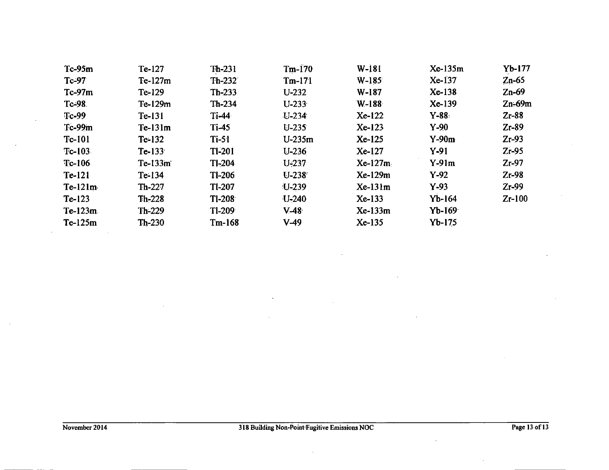| $Tc-95m$      | Te-127    | $Th-231$      | $Tm-170$  | $W-181$   | Xe-135m   | $Yb-177$   |
|---------------|-----------|---------------|-----------|-----------|-----------|------------|
| Tc-97         | Te-127m   | $Th-232$      | $Tm-171$  | $W-185$   | Xe-137    | $Zn-65$    |
| $Tc-97m$      | $Te-129$  | $Th-233$      | $U-232$   | W-187     | $Xe-138$  | $Zn-69$    |
| Tc-98         | Te-129m   | $Th-234$      | $U-233$   | W-188     | Xe-139    | $Zn-69m$   |
| <b>Tc-99</b>  | $Te-131$  | $Ti-44$       | $U-234$   | $Xe-122$  | $Y - 88.$ | $Z_1 - 88$ |
| Tc-99m        | $Te-131m$ | $Ti-45$       | $U-235$   | $Xe-123$  | $Y-90$    | $Zr-89$    |
| <b>Tc-101</b> | $Te-132$  | $Ti-51$       | $U-235m$  | Xe-125    | $Y-90m$   | $Zr-93$    |
| $Tc-103$      | $Te-133$  | <b>TI-201</b> | $U-236$   | $Xe-127$  | $Y-91$    | $Zr-95$    |
| $Tc-106$      | $Te-133m$ | <b>TI-204</b> | $U-237$   | $Xe-127m$ | $Y-91m$   | $Zr-97$    |
| Te-121        | $Te-134$  | <b>TI-206</b> | $U - 238$ | $Xe-129m$ | $Y-92$    | $Zr-98$    |
| $Te-121m$     | $Th-227$  | <b>TI-207</b> | $U - 239$ | $Xe-131m$ | $Y-93$    | $Zr-99$    |
| $Te-123$      | $Th-228$  | $Tl-208$      | $U-240$   | Xe-133    | $Yb-164$  | $Zr-100$   |
| $Te-123m$     | $Th-229$  | $Tl-209$      | $V-48$    | Xe-133m   | $Yb-169$  |            |
| $Te-125m$     | $Th-230$  | $Tm-168$      | $V-49$    | Xe-135    | $Yb-175$  |            |

 $\mathcal{L}_{\mathcal{A}}$ 

 $\sim$ 

 $\sim$ 

 $\mathbf{r}$ 

 $\sim$ 

 $\sim$ 

 $\mathbb{R}^2$ 

 $\sim$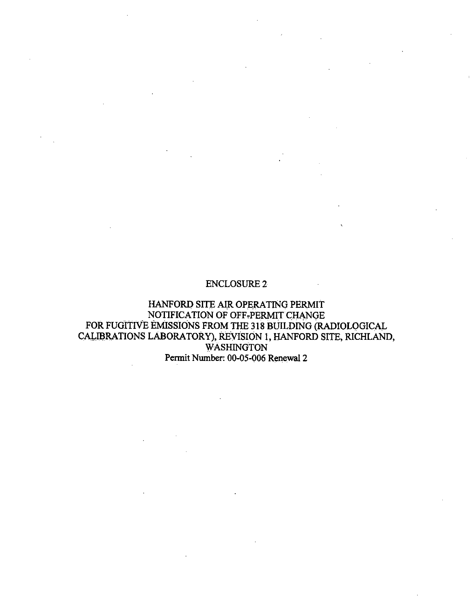#### ENCLOSURE2

HANFORD SITE AIR OPERATING PERMIT NOTIFICATION OF OFF,PERMIT CHANGE FOR FUditIVE EMISSIONS FROM THE 318 BUILDING (RADIOLQGICAL CALIBRATIONS LABORATORY), REVISION 1, HANFORD SITE, RICHLAND, **WASHINGTON** Pennit Number: 00-05-006 Renewal 2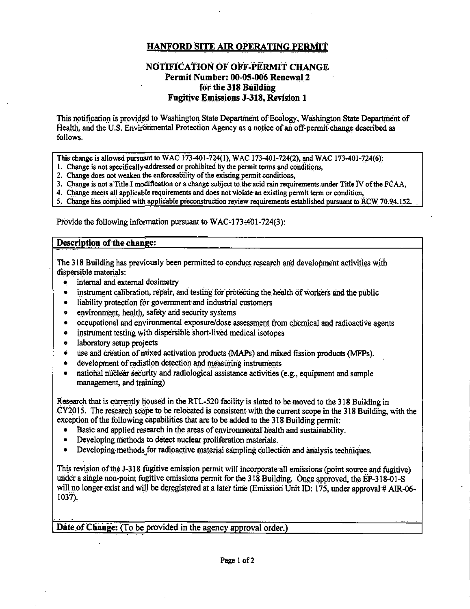# **HANFORD SITE AIR OPERATING PERMIT**

# NOTIFICATION OF OFF-PERMIT CHANGE Permit Number: 00-05-006 Renewal 2 for the 318 Building **Fugitive Emissions J-318, Revision 1**

This notification is provided to Washington State Department of Ecology. Washington State Department of Health, and the U.S. Environmental Protection Agency as a notice of an off-permit change described as follows.

This change is allowed pursuant to WAC 173-401-724(1), WAC 173-401-724(2), and WAC 173-401-724(6):

- 1. Change is not specifically addressed or prohibited by the permit terms and conditions.
- 2. Change does not weaken the enforceability of the existing permit conditions.
- 3. Change is not a Title I modification or a change subject to the acid rain requirements under Title IV of the FCAA,
- 4. Change meets all applicable requirements and does not violate an existing permit term or condition,
- 5. Change has complied with applicable preconstruction review requirements established pursuant to RCW 70.94.152.

Provide the following information pursuant to WAC-173-401-724(3):

#### Description of the change:

The 318 Building has previously been permitted to conduct research and development activities with dispersible materials:

- internal and external dosimetry  $\bullet$
- instrument calibration, repair, and testing for protecting the health of workers and the public
- liability protection for government and industrial customers
- environment, health, safety and security systems
- occupational and environmental exposure/dose assessment from chemical and radioactive agents  $\bullet$
- instrument testing with dispersible short-lived medical isotopes  $\bullet$
- laboratory setup projects
- use and creation of mixed activation products (MAPs) and mixed fission products (MFPs).
- development of radiation detection and measuring instruments
- national nuclear security and radiological assistance activities (e.g., equipment and sample management, and training)

Research that is currently housed in the RTL-520 facility is slated to be moved to the 318 Building in  $CY2015$ . The research scope to be relocated is consistent with the current scope in the 318 Building, with the exception of the following capabilities that are to be added to the 318 Building permit:

- Basic and applied research in the areas of environmental health and sustainability.
- Developing methods to detect nuclear proliferation materials.
- Developing methods for radioactive material sampling collection and analysis techniques.

This revision of the J-318 fugitive emission permit will incorporate all emissions (point source and fugitive) under a single non-point fugitive emissions permit for the 318 Building. Once approved, the EP-318-01-S will no longer exist and will be deregistered at a later time (Emission Unit ID: 175, under approval # AIR-06- $1037$ ).

Date of Change: (To be provided in the agency approval order.)